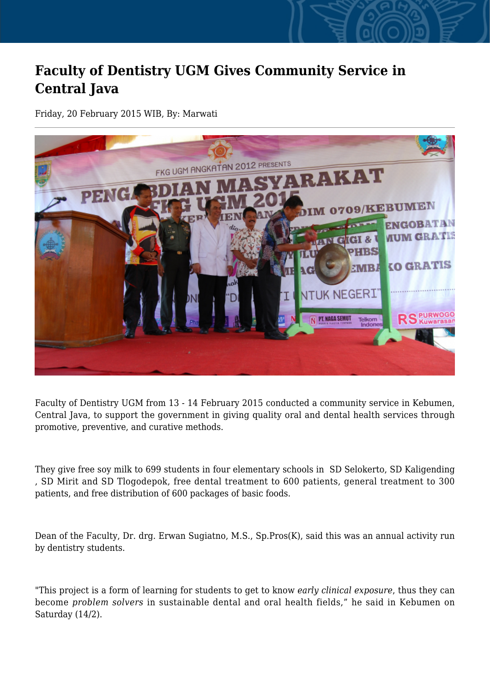## **Faculty of Dentistry UGM Gives Community Service in Central Java**

Friday, 20 February 2015 WIB, By: Marwati



Faculty of Dentistry UGM from 13 - 14 February 2015 conducted a community service in Kebumen, Central Java, to support the government in giving quality oral and dental health services through promotive, preventive, and curative methods.

They give free soy milk to 699 students in four elementary schools in SD Selokerto, SD Kaligending , SD Mirit and SD Tlogodepok, free dental treatment to 600 patients, general treatment to 300 patients, and free distribution of 600 packages of basic foods.

Dean of the Faculty, Dr. drg. Erwan Sugiatno, M.S., Sp.Pros(K), said this was an annual activity run by dentistry students.

"This project is a form of learning for students to get to know *early clinical exposure*, thus they can become *problem solvers* in sustainable dental and oral health fields," he said in Kebumen on Saturday (14/2).